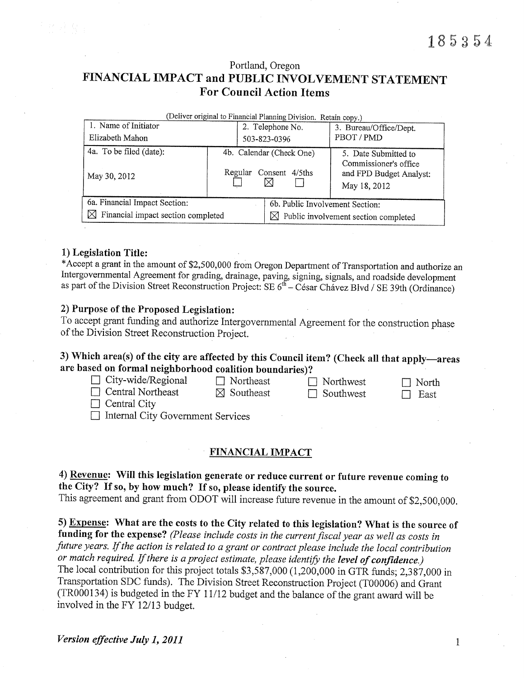Portland, Oregon

# FINANCIAL IMPACT and PUBLIC INVOLVEMENT STATEMENT For Council Action Items

| (Deliver original to Financial Planning Division. Retain copy.) |  |                  |                                                  |                                               |  |  |  |  |  |
|-----------------------------------------------------------------|--|------------------|--------------------------------------------------|-----------------------------------------------|--|--|--|--|--|
| 1. Name of Initiator                                            |  | 2. Telephone No. |                                                  | 3. Bureau/Office/Dept.                        |  |  |  |  |  |
| Elizabeth Mahon                                                 |  | 503-823-0396     |                                                  | PBOT/PMD                                      |  |  |  |  |  |
| 4a. To be filed (date):                                         |  |                  | 4b. Calendar (Check One)                         | 5. Date Submitted to<br>Commissioner's office |  |  |  |  |  |
| May 30, 2012                                                    |  |                  | Regular Consent 4/5ths<br>⋉                      | and FPD Budget Analyst:<br>May 18, 2012       |  |  |  |  |  |
| 6a. Financial Impact Section:                                   |  |                  | 6b. Public Involvement Section:                  |                                               |  |  |  |  |  |
| $\boxtimes$ Financial impact section completed                  |  |                  | $\boxtimes$ Public involvement section completed |                                               |  |  |  |  |  |

#### 1) Legislation Title:

 \*Accept a grant in the amount of \$2,500,000 from Oregon Department of Transportation and authorize an Intergovemmental Agreement for grading, drainage, paving, signing, signals, arid roadside development as part of the Division Street Reconstruction Project: SE  $6<sup>th</sup>$  – César Chávez Blvd / SE 39th (Ordinance)

#### 2) Purpose of the Proposed Legislation:

 To accept grant funding and authorize Intergovernmental Agreement for the construction phase of the Division Street Reconstruction Project.

### 3) Which area(s) of the city are affected by this Council item? (Check all that apply-areas are based on formal neighborhood coalition boundaries)?

| $\Box$ City-wide/Regional                | $\Box$ Northeast      | $\Box$ Northwest | $\Box$ North |
|------------------------------------------|-----------------------|------------------|--------------|
| $\Box$ Central Northeast                 | $\boxtimes$ Southeast | $\Box$ Southwest | East         |
| $\Box$ Central City                      |                       |                  |              |
| $\Box$ Internal City Government Services |                       |                  |              |

#### FINANCIAL IMPACT

4) Revenue: Will this legislation generate or reduce current or future revenue coming to the Cify? If so, by how much? If so, please identify the source. This agreement and grant from ODOT will increase future revenue in the amount of \$2,500,000.

5) Expense: What are the costs to the Cify related to this legislation? What is the source of funding for the expense? (Please include costs in the current fiscal year as well as costs in future years. If the action is related to a grant or contract please include the local contribution or match required. If there is a project estimate, please identify the level of confidence.) The local contribution for this project totals \$3,587,000 (1,200,000 in GTR funds; 2,387,000 in Transportation SDC funds). The Division Street Reconstruction Project (T00006) and Grant (TR000134) is budgeted in the FY 11/12 budget and the balance of the grant award will be involved in the FY 12/13 budget.

 $\mathbf{1}$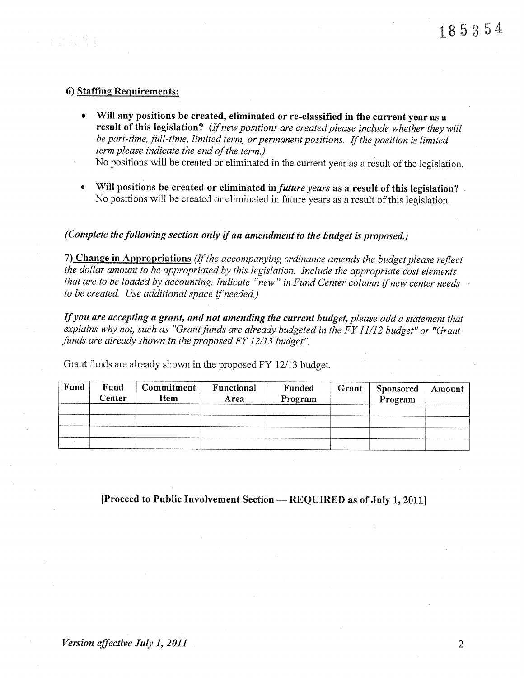#### 6) Staffing Requirements:

• Will any positions be created, eliminated or re-classified in the current year as a result of this legislation? (If new positions are created please include whether they will be part-time, full-time, limited term, or permanent positions. If the position is limited term please indicate the end of the term.)

No positions will be created or eliminated in the current year as a result of the legislation.

• Will positions be created or eliminated in future years as a result of this legislation? No positions will be created or eliminated in future years as a result of this legislation.

### (Complete the following section only if an amendment to the budget is proposed.)

7) Change in Appropriations (If the accompanying ordinance amends the budget please reflect the dollar amount to be appropriated by this legislation. Include the appropriate cost elements that are to be loaded by accounting. Indicate "new" in Fund Center column if new center needs to be created. Use additional space if needed.)

If you are accepting a grant, and not amending the current budget, please add a statement that explains why not, such as "Grant funds are already budgeted in the FY 11/12 budget" or "Grant funds are already shown in the proposed FY 12/13 budget".

Grant funds are already shown in the proposed FY 12/13 budget.

| Fund | Fund<br>Center | <b>Commitment</b><br>Item | Functional<br>Area | Funded<br>Program | Grant | <b>Sponsored</b><br>Program | Amount |
|------|----------------|---------------------------|--------------------|-------------------|-------|-----------------------------|--------|
|      |                |                           |                    |                   |       |                             |        |
|      |                |                           |                    |                   |       |                             |        |
|      |                |                           |                    |                   |       |                             |        |
|      |                |                           |                    |                   |       |                             |        |

[Proceed to Public Involvement Section - REQUIRED as of July 1, 2011]